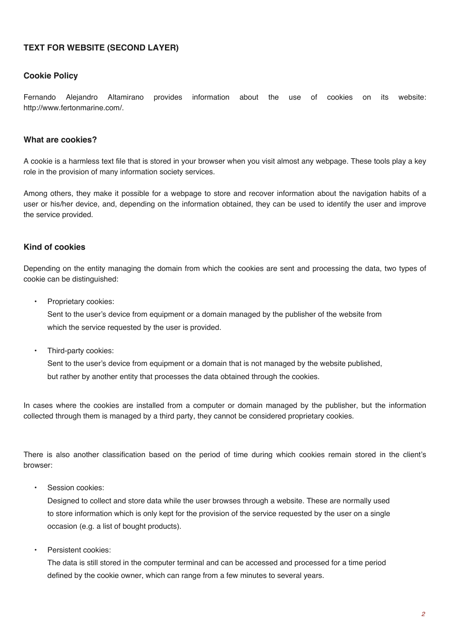# **TEXT FOR WEBSITE (SECOND LAYER)**

### **Cookie Policy**

Fernando Alejandro Altamirano provides information about the use of cookies on its website: http://www.fertonmarine.com/.

### **What are cookies?**

A cookie is a harmless text file that is stored in your browser when you visit almost any webpage. These tools play a key role in the provision of many information society services.

Among others, they make it possible for a webpage to store and recover information about the navigation habits of a user or his/her device, and, depending on the information obtained, they can be used to identify the user and improve the service provided.

## **Kind of cookies**

Depending on the entity managing the domain from which the cookies are sent and processing the data, two types of cookie can be distinguished:

Proprietary cookies:

Sent to the user's device from equipment or a domain managed by the publisher of the website from which the service requested by the user is provided.

Third-party cookies:

Sent to the user's device from equipment or a domain that is not managed by the website published, but rather by another entity that processes the data obtained through the cookies.

In cases where the cookies are installed from a computer or domain managed by the publisher, but the information collected through them is managed by a third party, they cannot be considered proprietary cookies.

There is also another classification based on the period of time during which cookies remain stored in the client's browser:

Session cookies:

Designed to collect and store data while the user browses through a website. These are normally used to store information which is only kept for the provision of the service requested by the user on a single occasion (e.g. a list of bought products).

Persistent cookies:

The data is still stored in the computer terminal and can be accessed and processed for a time period defined by the cookie owner, which can range from a few minutes to several years.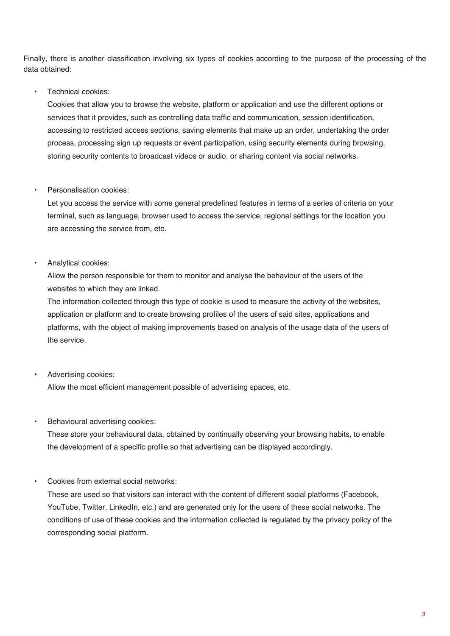Finally, there is another classification involving six types of cookies according to the purpose of the processing of the data obtained:

## • Technical cookies:

Cookies that allow you to browse the website, platform or application and use the different options or services that it provides, such as controlling data traffic and communication, session identification, accessing to restricted access sections, saving elements that make up an order, undertaking the order process, processing sign up requests or event participation, using security elements during browsing, storing security contents to broadcast videos or audio, or sharing content via social networks.

#### • Personalisation cookies:

Let you access the service with some general predefined features in terms of a series of criteria on your terminal, such as language, browser used to access the service, regional settings for the location you are accessing the service from, etc.

#### • Analytical cookies:

Allow the person responsible for them to monitor and analyse the behaviour of the users of the websites to which they are linked.

The information collected through this type of cookie is used to measure the activity of the websites, application or platform and to create browsing profiles of the users of said sites, applications and platforms, with the object of making improvements based on analysis of the usage data of the users of the service.

## • Advertising cookies:

Allow the most efficient management possible of advertising spaces, etc.

#### • Behavioural advertising cookies:

These store your behavioural data, obtained by continually observing your browsing habits, to enable the development of a specific profile so that advertising can be displayed accordingly.

• Cookies from external social networks:

These are used so that visitors can interact with the content of different social platforms (Facebook, YouTube, Twitter, LinkedIn, etc.) and are generated only for the users of these social networks. The conditions of use of these cookies and the information collected is regulated by the privacy policy of the corresponding social platform.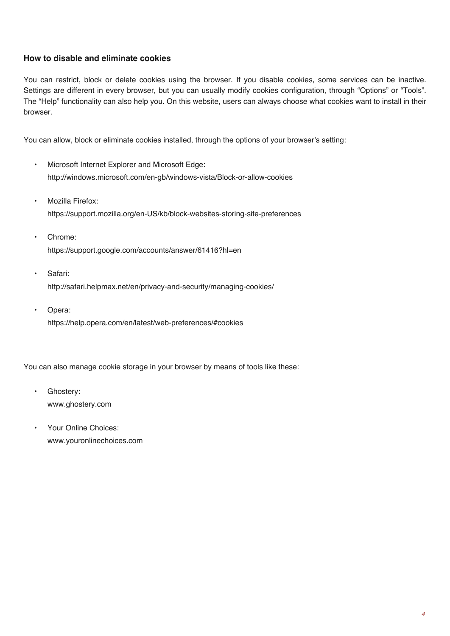## **How to disable and eliminate cookies**

You can restrict, block or delete cookies using the browser. If you disable cookies, some services can be inactive. Settings are different in every browser, but you can usually modify cookies configuration, through "Options" or "Tools". The "Help" functionality can also help you. On this website, users can always choose what cookies want to install in their browser.

You can allow, block or eliminate cookies installed, through the options of your browser's setting:

- Microsoft Internet Explorer and Microsoft Edge: http://windows.microsoft.com/en-gb/windows-vista/Block-or-allow-cookies
- Mozilla Firefox: https://support.mozilla.org/en-US/kb/block-websites-storing-site-preferences
- Chrome: https://support.google.com/accounts/answer/61416?hl=en
- Safari: http://safari.helpmax.net/en/privacy-and-security/managing-cookies/
- Opera: https://help.opera.com/en/latest/web-preferences/#cookies

You can also manage cookie storage in your browser by means of tools like these:

- Ghostery: www.ghostery.com
- Your Online Choices: www.youronlinechoices.com